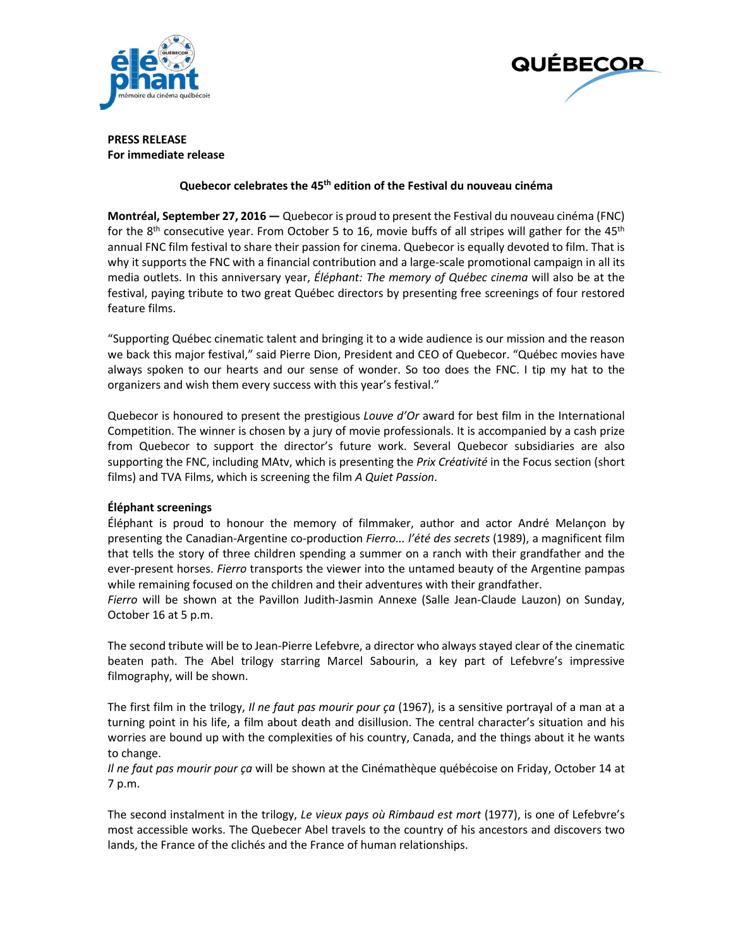



## **PRESS RELEASE For immediate release**

# **Quebecor celebrates the 45th edition of the Festival du nouveau cinéma**

**Montréal, September 27, 2016 —** Quebecor is proud to present the Festival du nouveau cinéma (FNC) for the  $8<sup>th</sup>$  consecutive year. From October 5 to 16, movie buffs of all stripes will gather for the 45<sup>th</sup> annual FNC film festival to share their passion for cinema. Quebecor is equally devoted to film. That is why it supports the FNC with a financial contribution and a large-scale promotional campaign in all its media outlets. In this anniversary year, *Éléphant: The memory of Québec cinema* will also be at the festival, paying tribute to two great Québec directors by presenting free screenings of four restored feature films.

"Supporting Québec cinematic talent and bringing it to a wide audience is our mission and the reason we back this major festival," said Pierre Dion, President and CEO of Quebecor. "Québec movies have always spoken to our hearts and our sense of wonder. So too does the FNC. I tip my hat to the organizers and wish them every success with this year's festival."

Quebecor is honoured to present the prestigious *Louve d'Or* award for best film in the International Competition. The winner is chosen by a jury of movie professionals. It is accompanied by a cash prize from Quebecor to support the director's future work. Several Quebecor subsidiaries are also supporting the FNC, including MAtv, which is presenting the *Prix Créativité* in the Focus section (short films) and TVA Films, which is screening the film *A Quiet Passion*.

### **Éléphant screenings**

Éléphant is proud to honour the memory of filmmaker, author and actor André Melançon by presenting the Canadian-Argentine co-production *Fierro... l'été des secrets* (1989), a magnificent film that tells the story of three children spending a summer on a ranch with their grandfather and the ever-present horses. *Fierro* transports the viewer into the untamed beauty of the Argentine pampas while remaining focused on the children and their adventures with their grandfather.

*Fierro* will be shown at the Pavillon Judith-Jasmin Annexe (Salle Jean-Claude Lauzon) on Sunday, October 16 at 5 p.m.

The second tribute will be to Jean-Pierre Lefebvre, a director who always stayed clear of the cinematic beaten path. The Abel trilogy starring Marcel Sabourin, a key part of Lefebvre's impressive filmography, will be shown.

The first film in the trilogy, *Il ne faut pas mourir pour ça* (1967), is a sensitive portrayal of a man at a turning point in his life, a film about death and disillusion. The central character's situation and his worries are bound up with the complexities of his country, Canada, and the things about it he wants to change.

*Il ne faut pas mourir pour ça* will be shown at the Cinémathèque québécoise on Friday, October 14 at 7 p.m.

The second instalment in the trilogy, *Le vieux pays où Rimbaud est mort* (1977), is one of Lefebvre's most accessible works. The Quebecer Abel travels to the country of his ancestors and discovers two lands, the France of the clichés and the France of human relationships.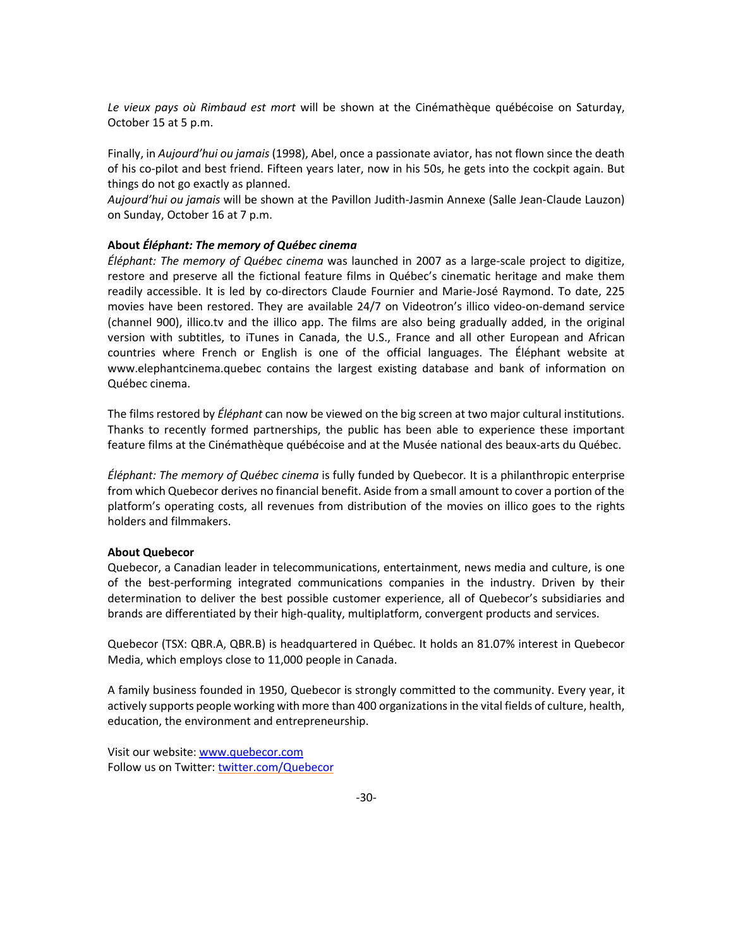*Le vieux pays où Rimbaud est mort* will be shown at the Cinémathèque québécoise on Saturday, October 15 at 5 p.m.

Finally, in *Aujourd'hui ou jamais* (1998), Abel, once a passionate aviator, has not flown since the death of his co-pilot and best friend. Fifteen years later, now in his 50s, he gets into the cockpit again. But things do not go exactly as planned.

*Aujourd'hui ou jamais* will be shown at the Pavillon Judith-Jasmin Annexe (Salle Jean-Claude Lauzon) on Sunday, October 16 at 7 p.m.

#### **About** *Éléphant: The memory of Québec cinema*

*Éléphant: The memory of Québec cinema* was launched in 2007 as a large-scale project to digitize, restore and preserve all the fictional feature films in Québec's cinematic heritage and make them readily accessible. It is led by co-directors Claude Fournier and Marie-José Raymond. To date, 225 movies have been restored. They are available 24/7 on Videotron's illico video-on-demand service (channel 900), illico.tv and the illico app. The films are also being gradually added, in the original version with subtitles, to iTunes in Canada, the U.S., France and all other European and African countries where French or English is one of the official languages. The Éléphant website at www.elephantcinema.quebec contains the largest existing database and bank of information on Québec cinema.

The films restored by *Éléphant* can now be viewed on the big screen at two major cultural institutions. Thanks to recently formed partnerships, the public has been able to experience these important feature films at the Cinémathèque québécoise and at the Musée national des beaux-arts du Québec.

*Éléphant: The memory of Québec cinema* is fully funded by Quebecor*.* It is a philanthropic enterprise from which Quebecor derives no financial benefit. Aside from a small amount to cover a portion of the platform's operating costs, all revenues from distribution of the movies on illico goes to the rights holders and filmmakers.

#### **About Quebecor**

Quebecor, a Canadian leader in telecommunications, entertainment, news media and culture, is one of the best-performing integrated communications companies in the industry. Driven by their determination to deliver the best possible customer experience, all of Quebecor's subsidiaries and brands are differentiated by their high-quality, multiplatform, convergent products and services.

Quebecor (TSX: QBR.A, QBR.B) is headquartered in Québec. It holds an 81.07% interest in Quebecor Media, which employs close to 11,000 people in Canada.

A family business founded in 1950, Quebecor is strongly committed to the community. Every year, it actively supports people working with more than 400 organizations in the vital fields of culture, health, education, the environment and entrepreneurship.

Visit our website[: www.quebecor.com](http://www.quebecor.com/) Follow us on Twitter: [twitter.com/Quebecor](http://www.twitter.com/Quebecor)